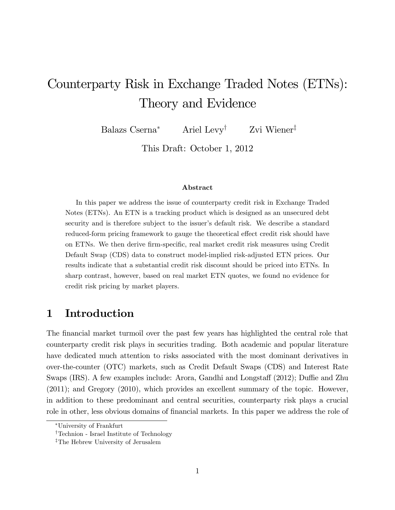# Counterparty Risk in Exchange Traded Notes (ETNs): Theory and Evidence

Balazs Cserna<sup>\*</sup> Ariel Levy<sup>†</sup> Zvi Wiener<sup>‡</sup>

This Draft: October 1, 2012

#### Abstract

In this paper we address the issue of counterparty credit risk in Exchange Traded Notes (ETNs). An ETN is a tracking product which is designed as an unsecured debt security and is therefore subject to the issuer's default risk. We describe a standard reduced-form pricing framework to gauge the theoretical effect credit risk should have on ETNs. We then derive firm-specific, real market credit risk measures using Credit Default Swap (CDS) data to construct model-implied risk-adjusted ETN prices. Our results indicate that a substantial credit risk discount should be priced into ETNs. In sharp contrast, however, based on real market ETN quotes, we found no evidence for credit risk pricing by market players.

## 1 Introduction

The financial market turmoil over the past few years has highlighted the central role that counterparty credit risk plays in securities trading. Both academic and popular literature have dedicated much attention to risks associated with the most dominant derivatives in over-the-counter (OTC) markets, such as Credit Default Swaps (CDS) and Interest Rate Swaps (IRS). A few examples include: Arora, Gandhi and Longstaff (2012); Duffie and Zhu (2011); and Gregory (2010), which provides an excellent summary of the topic. However, in addition to these predominant and central securities, counterparty risk plays a crucial role in other, less obvious domains of financial markets. In this paper we address the role of

University of Frankfurt

<sup>&</sup>lt;sup>†</sup>Technion - Israel Institute of Technology

<sup>&</sup>lt;sup>‡</sup>The Hebrew University of Jerusalem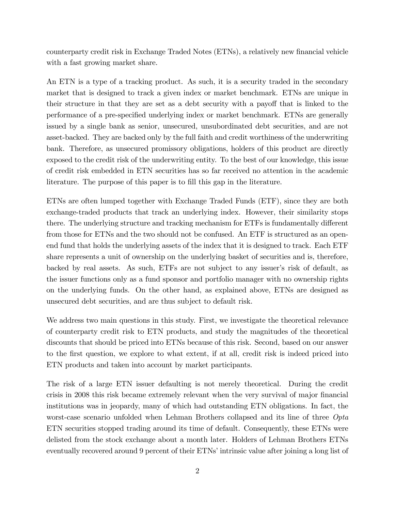counterparty credit risk in Exchange Traded Notes (ETNs), a relatively new financial vehicle with a fast growing market share.

An ETN is a type of a tracking product. As such, it is a security traded in the secondary market that is designed to track a given index or market benchmark. ETNs are unique in their structure in that they are set as a debt security with a payoff that is linked to the performance of a pre-specified underlying index or market benchmark. ETNs are generally issued by a single bank as senior, unsecured, unsubordinated debt securities, and are not asset-backed. They are backed only by the full faith and credit worthiness of the underwriting bank. Therefore, as unsecured promissory obligations, holders of this product are directly exposed to the credit risk of the underwriting entity. To the best of our knowledge, this issue of credit risk embedded in ETN securities has so far received no attention in the academic literature. The purpose of this paper is to fill this gap in the literature.

ETNs are often lumped together with Exchange Traded Funds (ETF), since they are both exchange-traded products that track an underlying index. However, their similarity stops there. The underlying structure and tracking mechanism for ETFs is fundamentally different from those for ETNs and the two should not be confused. An ETF is structured as an openend fund that holds the underlying assets of the index that it is designed to track. Each ETF share represents a unit of ownership on the underlying basket of securities and is, therefore, backed by real assets. As such, ETFs are not subject to any issuer's risk of default, as the issuer functions only as a fund sponsor and portfolio manager with no ownership rights on the underlying funds. On the other hand, as explained above, ETNs are designed as unsecured debt securities, and are thus subject to default risk.

We address two main questions in this study. First, we investigate the theoretical relevance of counterparty credit risk to ETN products, and study the magnitudes of the theoretical discounts that should be priced into ETNs because of this risk. Second, based on our answer to the first question, we explore to what extent, if at all, credit risk is indeed priced into ETN products and taken into account by market participants.

The risk of a large ETN issuer defaulting is not merely theoretical. During the credit crisis in 2008 this risk became extremely relevant when the very survival of major Önancial institutions was in jeopardy, many of which had outstanding ETN obligations. In fact, the worst-case scenario unfolded when Lehman Brothers collapsed and its line of three Opta ETN securities stopped trading around its time of default. Consequently, these ETNs were delisted from the stock exchange about a month later. Holders of Lehman Brothers ETNs eventually recovered around 9 percent of their ETNs' intrinsic value after joining a long list of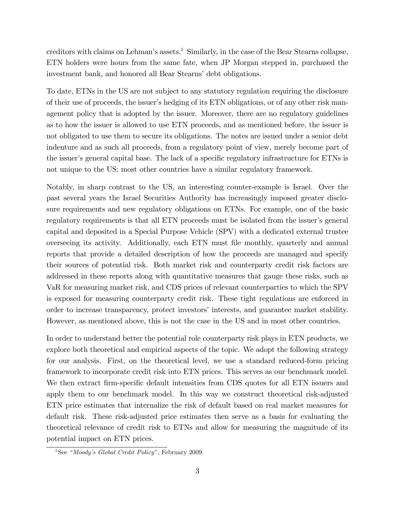creditors with claims on Lehman's assets.<sup>1</sup> Similarly, in the case of the Bear Stearns collapse, ETN holders were hours from the same fate, when JP Morgan stepped in, purchased the investment bank, and honored all Bear Stearns' debt obligations.

To date, ETNs in the US are not subject to any statutory regulation requiring the disclosure of their use of proceeds, the issuer's hedging of its ETN obligations, or of any other risk management policy that is adopted by the issuer. Moreover, there are no regulatory guidelines as to how the issuer is allowed to use ETN proceeds, and as mentioned before, the issuer is not obligated to use them to secure its obligations. The notes are issued under a senior debt indenture and as such all proceeds, from a regulatory point of view, merely become part of the issuer's general capital base. The lack of a specific regulatory infrastructure for ETNs is not unique to the US; most other countries have a similar regulatory framework.

Notably, in sharp contrast to the US, an interesting counter-example is Israel. Over the past several years the Israel Securities Authority has increasingly imposed greater disclosure requirements and new regulatory obligations on ETNs. For example, one of the basic regulatory requirements is that all ETN proceeds must be isolated from the issuer's general capital and deposited in a Special Purpose Vehicle (SPV) with a dedicated external trustee overseeing its activity. Additionally, each ETN must Öle monthly, quarterly and annual reports that provide a detailed description of how the proceeds are managed and specify their sources of potential risk. Both market risk and counterparty credit risk factors are addressed in these reports along with quantitative measures that gauge these risks, such as VaR for measuring market risk, and CDS prices of relevant counterparties to which the SPV is exposed for measuring counterparty credit risk. These tight regulations are enforced in order to increase transparency, protect investors' interests, and guarantee market stability. However, as mentioned above, this is not the case in the US and in most other countries.

In order to understand better the potential role counterparty risk plays in ETN products, we explore both theoretical and empirical aspects of the topic. We adopt the following strategy for our analysis. First, on the theoretical level, we use a standard reduced-form pricing framework to incorporate credit risk into ETN prices. This serves as our benchmark model. We then extract firm-specific default intensities from CDS quotes for all ETN issuers and apply them to our benchmark model. In this way we construct theoretical risk-adjusted ETN price estimates that internalize the risk of default based on real market measures for default risk. These risk-adjusted price estimates then serve as a basis for evaluating the theoretical relevance of credit risk to ETNs and allow for measuring the magnitude of its potential impact on ETN prices.

<sup>&</sup>lt;sup>1</sup>See "Moody's Global Credit Policy", February 2009.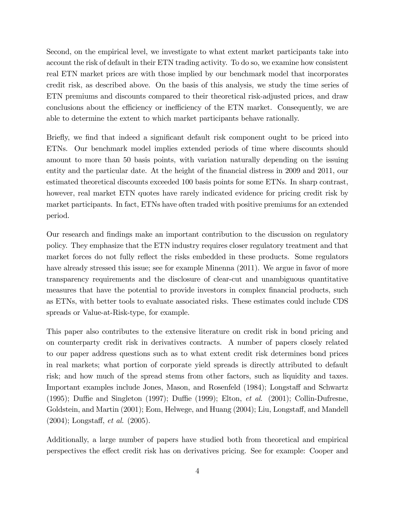Second, on the empirical level, we investigate to what extent market participants take into account the risk of default in their ETN trading activity. To do so, we examine how consistent real ETN market prices are with those implied by our benchmark model that incorporates credit risk, as described above. On the basis of this analysis, we study the time series of ETN premiums and discounts compared to their theoretical risk-adjusted prices, and draw conclusions about the efficiency or inefficiency of the ETN market. Consequently, we are able to determine the extent to which market participants behave rationally.

Briefly, we find that indeed a significant default risk component ought to be priced into ETNs. Our benchmark model implies extended periods of time where discounts should amount to more than 50 basis points, with variation naturally depending on the issuing entity and the particular date. At the height of the financial distress in 2009 and 2011, our estimated theoretical discounts exceeded 100 basis points for some ETNs. In sharp contrast, however, real market ETN quotes have rarely indicated evidence for pricing credit risk by market participants. In fact, ETNs have often traded with positive premiums for an extended period.

Our research and Öndings make an important contribution to the discussion on regulatory policy. They emphasize that the ETN industry requires closer regulatory treatment and that market forces do not fully reflect the risks embedded in these products. Some regulators have already stressed this issue; see for example Minenna  $(2011)$ . We argue in favor of more transparency requirements and the disclosure of clear-cut and unambiguous quantitative measures that have the potential to provide investors in complex financial products, such as ETNs, with better tools to evaluate associated risks. These estimates could include CDS spreads or Value-at-Risk-type, for example.

This paper also contributes to the extensive literature on credit risk in bond pricing and on counterparty credit risk in derivatives contracts. A number of papers closely related to our paper address questions such as to what extent credit risk determines bond prices in real markets; what portion of corporate yield spreads is directly attributed to default risk; and how much of the spread stems from other factors, such as liquidity and taxes. Important examples include Jones, Mason, and Rosenfeld (1984); Longstaff and Schwartz (1995); Duffie and Singleton (1997); Duffie (1999); Elton, et al. (2001); Collin-Dufresne, Goldstein, and Martin (2001); Eom, Helwege, and Huang (2004); Liu, Longstaff, and Mandell  $(2004)$ ; Longstaff, *et al.*  $(2005)$ .

Additionally, a large number of papers have studied both from theoretical and empirical perspectives the effect credit risk has on derivatives pricing. See for example: Cooper and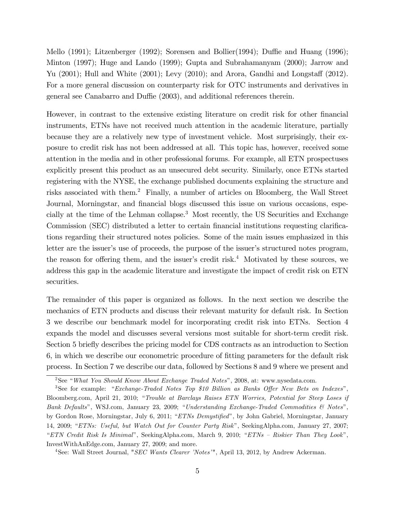Mello  $(1991)$ ; Litzenberger  $(1992)$ ; Sorensen and Bollier $(1994)$ ; Duffie and Huang  $(1996)$ ; Minton (1997); Huge and Lando (1999); Gupta and Subrahamanyam (2000); Jarrow and Yu  $(2001)$ ; Hull and White  $(2001)$ ; Levy  $(2010)$ ; and Arora, Gandhi and Longstaff  $(2012)$ . For a more general discussion on counterparty risk for OTC instruments and derivatives in general see Canabarro and Duffie (2003), and additional references therein.

However, in contrast to the extensive existing literature on credit risk for other financial instruments, ETNs have not received much attention in the academic literature, partially because they are a relatively new type of investment vehicle. Most surprisingly, their exposure to credit risk has not been addressed at all. This topic has, however, received some attention in the media and in other professional forums. For example, all ETN prospectuses explicitly present this product as an unsecured debt security. Similarly, once ETNs started registering with the NYSE, the exchange published documents explaining the structure and risks associated with them.<sup>2</sup> Finally, a number of articles on Bloomberg, the Wall Street Journal, Morningstar, and financial blogs discussed this issue on various occasions, especially at the time of the Lehman collapse.<sup>3</sup> Most recently, the US Securities and Exchange Commission (SEC) distributed a letter to certain financial institutions requesting clarifications regarding their structured notes policies. Some of the main issues emphasized in this letter are the issuer's use of proceeds, the purpose of the issuer's structured notes program, the reason for offering them, and the issuer's credit risk.<sup>4</sup> Motivated by these sources, we address this gap in the academic literature and investigate the impact of credit risk on ETN securities.

The remainder of this paper is organized as follows. In the next section we describe the mechanics of ETN products and discuss their relevant maturity for default risk. In Section 3 we describe our benchmark model for incorporating credit risk into ETNs. Section 4 expands the model and discusses several versions most suitable for short-term credit risk. Section 5 brieáy describes the pricing model for CDS contracts as an introduction to Section 6, in which we describe our econometric procedure of fitting parameters for the default risk process. In Section 7 we describe our data, followed by Sections 8 and 9 where we present and

<sup>4</sup>See: Wall Street Journal, "*SEC Wants Clearer 'Notes'*", April 13, 2012, by Andrew Ackerman.

<sup>&</sup>lt;sup>2</sup>See "What You Should Know About Exchange Traded Notes", 2008, at: www.nysedata.com.

<sup>&</sup>lt;sup>3</sup>See for example: "*Exchange-Traded Notes Top \$10 Billion as Banks Offer New Bets on Indexes*", Bloomberg.com, April 21, 2010; "Trouble at Barclays Raises ETN Worries, Potential for Steep Loses if Bank Defaults", WSJ.com, January 23, 2009; "Understanding Exchange-Traded Commodities & Notes", by Gordon Rose, Morningstar, July 6, 2011; "ETNs Demystified", by John Gabriel, Morningstar, January 14, 2009; "ETNs: Useful, but Watch Out for Counter Party Risk", SeekingAlpha.com, January 27, 2007; "ETN Credit Risk Is Minimal", SeekingAlpha.com, March 9, 2010; "ETNs  $-$  Riskier Than They Look", InvestWithAnEdge.com, January 27, 2009; and more.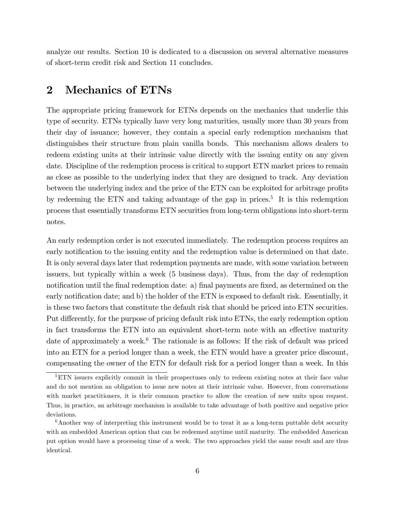analyze our results. Section 10 is dedicated to a discussion on several alternative measures of short-term credit risk and Section 11 concludes.

### 2 Mechanics of ETNs

The appropriate pricing framework for ETNs depends on the mechanics that underlie this type of security. ETNs typically have very long maturities, usually more than 30 years from their day of issuance; however, they contain a special early redemption mechanism that distinguishes their structure from plain vanilla bonds. This mechanism allows dealers to redeem existing units at their intrinsic value directly with the issuing entity on any given date. Discipline of the redemption process is critical to support ETN market prices to remain as close as possible to the underlying index that they are designed to track. Any deviation between the underlying index and the price of the ETN can be exploited for arbitrage profits by redeeming the ETN and taking advantage of the gap in prices.<sup>5</sup> It is this redemption process that essentially transforms ETN securities from long-term obligations into short-term notes.

An early redemption order is not executed immediately. The redemption process requires an early notification to the issuing entity and the redemption value is determined on that date. It is only several days later that redemption payments are made, with some variation between issuers, but typically within a week (5 business days). Thus, from the day of redemption notification until the final redemption date: a) final payments are fixed, as determined on the early notification date; and b) the holder of the ETN is exposed to default risk. Essentially, it is these two factors that constitute the default risk that should be priced into ETN securities. Put differently, for the purpose of pricing default risk into ETNs, the early redemption option in fact transforms the ETN into an equivalent short-term note with an effective maturity date of approximately a week.<sup>6</sup> The rationale is as follows: If the risk of default was priced into an ETN for a period longer than a week, the ETN would have a greater price discount, compensating the owner of the ETN for default risk for a period longer than a week. In this

<sup>&</sup>lt;sup>5</sup>ETN issuers explicitly commit in their prospectuses only to redeem existing notes at their face value and do not mention an obligation to issue new notes at their intrinsic value. However, from conversations with market practitioners, it is their common practice to allow the creation of new units upon request. Thus, in practice, an arbitrage mechanism is available to take advantage of both positive and negative price deviations.

<sup>&</sup>lt;sup>6</sup>Another way of interpreting this instrument would be to treat it as a long-term puttable debt security with an embedded American option that can be redeemed anytime until maturity. The embedded American put option would have a processing time of a week. The two approaches yield the same result and are thus identical.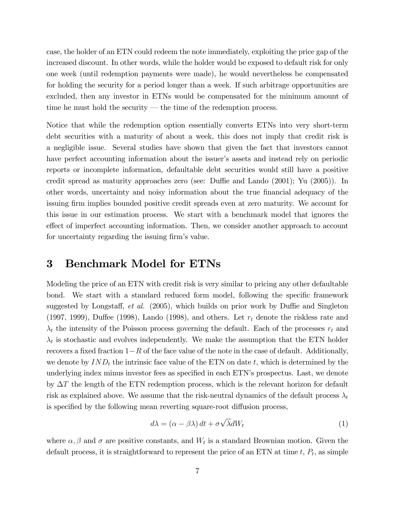case, the holder of an ETN could redeem the note immediately, exploiting the price gap of the increased discount. In other words, while the holder would be exposed to default risk for only one week (until redemption payments were made), he would nevertheless be compensated for holding the security for a period longer than a week. If such arbitrage opportunities are excluded, then any investor in ETNs would be compensated for the minimum amount of time he must hold the security  $-$  the time of the redemption process.

Notice that while the redemption option essentially converts ETNs into very short-term debt securities with a maturity of about a week, this does not imply that credit risk is a negligible issue. Several studies have shown that given the fact that investors cannot have perfect accounting information about the issuer's assets and instead rely on periodic reports or incomplete information, defaultable debt securities would still have a positive credit spread as maturity approaches zero (see: Duffie and Lando  $(2001)$ ; Yu  $(2005)$ ). In other words, uncertainty and noisy information about the true Önancial adequacy of the issuing firm implies bounded positive credit spreads even at zero maturity. We account for this issue in our estimation process. We start with a benchmark model that ignores the effect of imperfect accounting information. Then, we consider another approach to account for uncertainty regarding the issuing firm's value.

### 3 Benchmark Model for ETNs

Modeling the price of an ETN with credit risk is very similar to pricing any other defaultable bond. We start with a standard reduced form model, following the specific framework suggested by Longstaff,  $et \ al.$  (2005), which builds on prior work by Duffie and Singleton (1997, 1999), Duffee (1998), Lando (1998), and others. Let  $r_t$  denote the riskless rate and  $\lambda_t$  the intensity of the Poisson process governing the default. Each of the processes  $r_t$  and  $\lambda_t$  is stochastic and evolves independently. We make the assumption that the ETN holder recovers a fixed fraction  $1-R$  of the face value of the note in the case of default. Additionally, we denote by  $IND_t$  the intrinsic face value of the ETN on date t, which is determined by the underlying index minus investor fees as specified in each ETN's prospectus. Last, we denote by  $\Delta T$  the length of the ETN redemption process, which is the relevant horizon for default risk as explained above. We assume that the risk-neutral dynamics of the default process  $\lambda_t$ is specified by the following mean reverting square-root diffusion process,

$$
d\lambda = (\alpha - \beta \lambda) dt + \sigma \sqrt{\lambda} dW_t
$$
 (1)

where  $\alpha, \beta$  and  $\sigma$  are positive constants, and  $W_t$  is a standard Brownian motion. Given the default process, it is straightforward to represent the price of an ETN at time  $t, P_t$ , as simple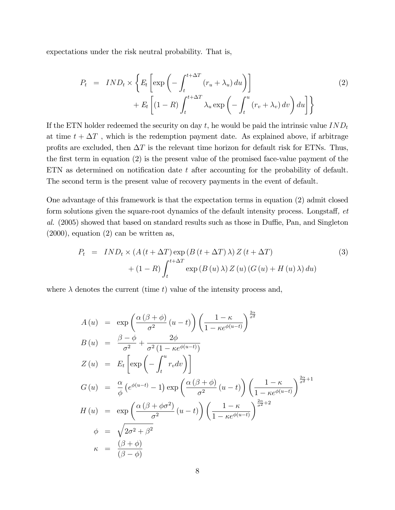expectations under the risk neutral probability. That is,

$$
P_t = IND_t \times \left\{ E_t \left[ \exp\left( - \int_t^{t + \Delta T} (r_u + \lambda_u) du \right) \right] + E_t \left[ (1 - R) \int_t^{t + \Delta T} \lambda_u \exp\left( - \int_t^u (r_v + \lambda_v) dv \right) du \right] \right\}
$$
(2)

If the ETN holder redeemed the security on day  $t$ , he would be paid the intrinsic value  $IND_t$ at time  $t + \Delta T$ , which is the redemption payment date. As explained above, if arbitrage profits are excluded, then  $\Delta T$  is the relevant time horizon for default risk for ETNs. Thus, the first term in equation  $(2)$  is the present value of the promised face-value payment of the ETN as determined on notification date  $t$  after accounting for the probability of default. The second term is the present value of recovery payments in the event of default.

One advantage of this framework is that the expectation terms in equation (2) admit closed form solutions given the square-root dynamics of the default intensity process. Longstaff,  $et$  $al.$  (2005) showed that based on standard results such as those in Duffie, Pan, and Singleton (2000), equation (2) can be written as,

$$
P_{t} = IND_{t} \times (A(t + \Delta T) \exp(B(t + \Delta T) \lambda) Z(t + \Delta T)
$$
  
+ 
$$
(1 - R) \int_{t}^{t + \Delta T} \exp(B(u) \lambda) Z(u) (G(u) + H(u) \lambda) du)
$$
 (3)

where  $\lambda$  denotes the current (time t) value of the intensity process and,

$$
A(u) = \exp\left(\frac{\alpha(\beta + \phi)}{\sigma^2}(u - t)\right)\left(\frac{1 - \kappa}{1 - \kappa e^{\phi(u - t)}}\right)^{\frac{2\alpha}{\sigma^2}}
$$
  
\n
$$
B(u) = \frac{\beta - \phi}{\sigma^2} + \frac{2\phi}{\sigma^2(1 - \kappa e^{\phi(u - t)})}
$$
  
\n
$$
Z(u) = E_t \left[\exp\left(-\int_t^u r_v dv\right)\right]
$$
  
\n
$$
G(u) = \frac{\alpha}{\phi}\left(e^{\phi(u - t)} - 1\right)\exp\left(\frac{\alpha(\beta + \phi)}{\sigma^2}(u - t)\right)\left(\frac{1 - \kappa}{1 - \kappa e^{\phi(u - t)}}\right)^{\frac{2\alpha}{\sigma^2} + 1}
$$
  
\n
$$
H(u) = \exp\left(\frac{\alpha(\beta + \phi\sigma^2)}{\sigma^2}(u - t)\right)\left(\frac{1 - \kappa}{1 - \kappa e^{\phi(u - t)}}\right)^{\frac{2\alpha}{\sigma^2} + 2}
$$
  
\n
$$
\phi = \sqrt{2\sigma^2 + \beta^2}
$$
  
\n
$$
\kappa = \frac{(\beta + \phi)}{(\beta - \phi)}
$$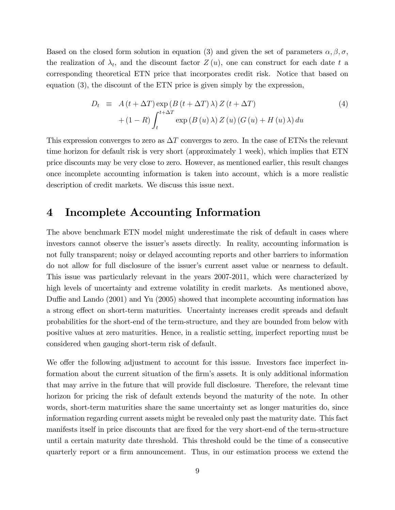Based on the closed form solution in equation (3) and given the set of parameters  $\alpha, \beta, \sigma$ , the realization of  $\lambda_t$ , and the discount factor  $Z(u)$ , one can construct for each date t a corresponding theoretical ETN price that incorporates credit risk. Notice that based on equation (3), the discount of the ETN price is given simply by the expression,

$$
D_{t} \equiv A(t + \Delta T) \exp(B(t + \Delta T) \lambda) Z(t + \Delta T)
$$
  
+ 
$$
(1 - R) \int_{t}^{t + \Delta T} \exp(B(u) \lambda) Z(u) (G(u) + H(u) \lambda) du
$$
 (4)

This expression converges to zero as  $\Delta T$  converges to zero. In the case of ETNs the relevant time horizon for default risk is very short (approximately 1 week), which implies that ETN price discounts may be very close to zero. However, as mentioned earlier, this result changes once incomplete accounting information is taken into account, which is a more realistic description of credit markets. We discuss this issue next.

### 4 Incomplete Accounting Information

The above benchmark ETN model might underestimate the risk of default in cases where investors cannot observe the issuer's assets directly. In reality, accounting information is not fully transparent; noisy or delayed accounting reports and other barriers to information do not allow for full disclosure of the issuer's current asset value or nearness to default. This issue was particularly relevant in the years 2007-2011, which were characterized by high levels of uncertainty and extreme volatility in credit markets. As mentioned above, Duffie and Lando  $(2001)$  and Yu  $(2005)$  showed that incomplete accounting information has a strong effect on short-term maturities. Uncertainty increases credit spreads and default probabilities for the short-end of the term-structure, and they are bounded from below with positive values at zero maturities. Hence, in a realistic setting, imperfect reporting must be considered when gauging short-term risk of default.

We offer the following adjustment to account for this issue. Investors face imperfect information about the current situation of the firm's assets. It is only additional information that may arrive in the future that will provide full disclosure. Therefore, the relevant time horizon for pricing the risk of default extends beyond the maturity of the note. In other words, short-term maturities share the same uncertainty set as longer maturities do, since information regarding current assets might be revealed only past the maturity date. This fact manifests itself in price discounts that are fixed for the very short-end of the term-structure until a certain maturity date threshold. This threshold could be the time of a consecutive quarterly report or a firm announcement. Thus, in our estimation process we extend the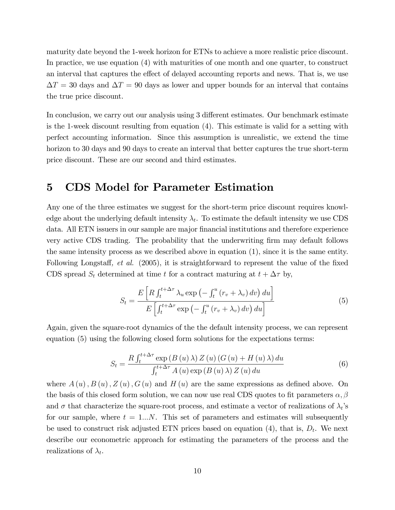maturity date beyond the 1-week horizon for ETNs to achieve a more realistic price discount. In practice, we use equation (4) with maturities of one month and one quarter, to construct an interval that captures the effect of delayed accounting reports and news. That is, we use  $\Delta T = 30$  days and  $\Delta T = 90$  days as lower and upper bounds for an interval that contains the true price discount.

In conclusion, we carry out our analysis using 3 different estimates. Our benchmark estimate is the 1-week discount resulting from equation (4). This estimate is valid for a setting with perfect accounting information. Since this assumption is unrealistic, we extend the time horizon to 30 days and 90 days to create an interval that better captures the true short-term price discount. These are our second and third estimates.

### 5 CDS Model for Parameter Estimation

Any one of the three estimates we suggest for the short-term price discount requires knowledge about the underlying default intensity  $\lambda_t$ . To estimate the default intensity we use CDS data. All ETN issuers in our sample are major financial institutions and therefore experience very active CDS trading. The probability that the underwriting firm may default follows the same intensity process as we described above in equation (1), since it is the same entity. Following Longstaff, *et al.* (2005), it is straightforward to represent the value of the fixed CDS spread  $S_t$  determined at time t for a contract maturing at  $t + \Delta \tau$  by,

$$
S_t = \frac{E\left[R\int_t^{t+\Delta\tau} \lambda_u \exp\left(-\int_t^u (r_v + \lambda_v) dv\right) du\right]}{E\left[\int_t^{t+\Delta\tau} \exp\left(-\int_t^u (r_v + \lambda_v) dv\right) du\right]}
$$
(5)

Again, given the square-root dynamics of the the default intensity process, we can represent equation (5) using the following closed form solutions for the expectations terms:

$$
S_{t} = \frac{R \int_{t}^{t + \Delta \tau} \exp(B(u) \lambda) Z(u) (G(u) + H(u) \lambda) du}{\int_{t}^{t + \Delta \tau} A(u) \exp(B(u) \lambda) Z(u) du}
$$
(6)

where  $A(u)$ ,  $B(u)$ ,  $Z(u)$ ,  $G(u)$  and  $H(u)$  are the same expressions as defined above. On the basis of this closed form solution, we can now use real CDS quotes to fit parameters  $\alpha, \beta$ and  $\sigma$  that characterize the square-root process, and estimate a vector of realizations of  $\lambda_t$ 's for our sample, where  $t = 1...N$ . This set of parameters and estimates will subsequently be used to construct risk adjusted ETN prices based on equation  $(4)$ , that is,  $D_t$ . We next describe our econometric approach for estimating the parameters of the process and the realizations of  $\lambda_t$ .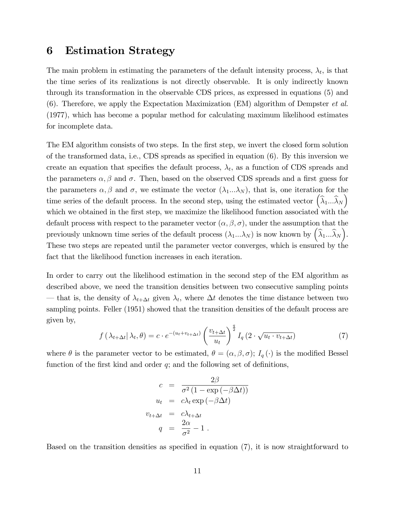### 6 Estimation Strategy

The main problem in estimating the parameters of the default intensity process,  $\lambda_t$ , is that the time series of its realizations is not directly observable. It is only indirectly known through its transformation in the observable CDS prices, as expressed in equations (5) and (6). Therefore, we apply the Expectation Maximization (EM) algorithm of Dempster *et al.* (1977), which has become a popular method for calculating maximum likelihood estimates for incomplete data.

The EM algorithm consists of two steps. In the first step, we invert the closed form solution of the transformed data, i.e., CDS spreads as specified in equation  $(6)$ . By this inversion we create an equation that specifies the default process,  $\lambda_t$ , as a function of CDS spreads and the parameters  $\alpha, \beta$  and  $\sigma$ . Then, based on the observed CDS spreads and a first guess for the parameters  $\alpha, \beta$  and  $\sigma$ , we estimate the vector  $(\lambda_1...\lambda_N)$ , that is, one iteration for the time series of the default process. In the second step, using the estimated vector  $(\widehat{\lambda}_1...\widehat{\lambda}_N)$ which we obtained in the first step, we maximize the likelihood function associated with the default process with respect to the parameter vector  $(\alpha, \beta, \sigma)$ , under the assumption that the previously unknown time series of the default process  $(\lambda_1...\lambda_N)$  is now known by  $(\widehat{\lambda}_1...\widehat{\lambda}_N)$ . These two steps are repeated until the parameter vector converges, which is ensured by the fact that the likelihood function increases in each iteration.

In order to carry out the likelihood estimation in the second step of the EM algorithm as described above, we need the transition densities between two consecutive sampling points — that is, the density of  $\lambda_{t+\Delta t}$  given  $\lambda_t$ , where  $\Delta t$  denotes the time distance between two sampling points. Feller (1951) showed that the transition densities of the default process are given by,

$$
f\left(\lambda_{t+\Delta t}|\lambda_t,\theta\right) = c \cdot e^{-\left(u_t + v_{t+\Delta t}\right)} \left(\frac{v_{t+\Delta t}}{u_t}\right)^{\frac{q}{2}} I_q\left(2 \cdot \sqrt{u_t \cdot v_{t+\Delta t}}\right) \tag{7}
$$

where  $\theta$  is the parameter vector to be estimated,  $\theta = (\alpha, \beta, \sigma); I_q(\cdot)$  is the modified Bessel function of the first kind and order  $q$ ; and the following set of definitions,

$$
c = \frac{2\beta}{\sigma^2 (1 - \exp(-\beta \Delta t))}
$$
  
\n
$$
u_t = c\lambda_t \exp(-\beta \Delta t)
$$
  
\n
$$
v_{t+\Delta t} = c\lambda_{t+\Delta t}
$$
  
\n
$$
q = \frac{2\alpha}{\sigma^2} - 1.
$$

Based on the transition densities as specified in equation  $(7)$ , it is now straightforward to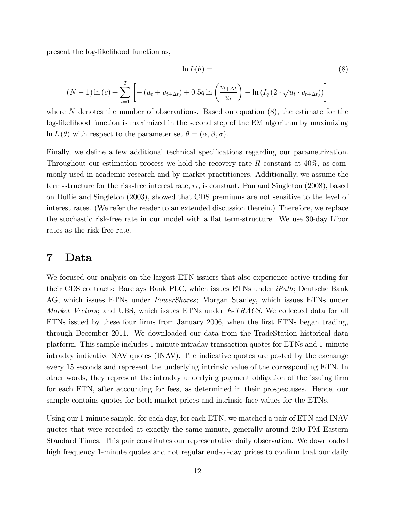present the log-likelihood function as,

$$
\ln L(\theta) = \tag{8}
$$
\n
$$
(N-1)\ln(c) + \sum_{t=1}^{T} \left[ -(u_t + v_{t+\Delta t}) + 0.5q \ln\left(\frac{v_{t+\Delta t}}{u_t}\right) + \ln\left(I_q\left(2 \cdot \sqrt{u_t \cdot v_{t+\Delta t}}\right)\right) \right]
$$

where N denotes the number of observations. Based on equation  $(8)$ , the estimate for the log-likelihood function is maximized in the second step of the EM algorithm by maximizing  $\ln L(\theta)$  with respect to the parameter set  $\theta = (\alpha, \beta, \sigma)$ .

Finally, we define a few additional technical specifications regarding our parametrization. Throughout our estimation process we hold the recovery rate R constant at  $40\%$ , as commonly used in academic research and by market practitioners. Additionally, we assume the term-structure for the risk-free interest rate,  $r_t$ , is constant. Pan and Singleton (2008), based on Duffie and Singleton (2003), showed that CDS premiums are not sensitive to the level of interest rates. (We refer the reader to an extended discussion therein.) Therefore, we replace the stochastic risk-free rate in our model with a flat term-structure. We use 30-day Libor rates as the risk-free rate.

### 7 Data

We focused our analysis on the largest ETN issuers that also experience active trading for their CDS contracts: Barclays Bank PLC, which issues ETNs under iPath; Deutsche Bank AG, which issues ETNs under PowerShares; Morgan Stanley, which issues ETNs under Market Vectors; and UBS, which issues ETNs under E-TRACS. We collected data for all ETNs issued by these four firms from January 2006, when the first ETNs began trading, through December 2011. We downloaded our data from the TradeStation historical data platform. This sample includes 1-minute intraday transaction quotes for ETNs and 1-minute intraday indicative NAV quotes (INAV). The indicative quotes are posted by the exchange every 15 seconds and represent the underlying intrinsic value of the corresponding ETN. In other words, they represent the intraday underlying payment obligation of the issuing firm for each ETN, after accounting for fees, as determined in their prospectuses. Hence, our sample contains quotes for both market prices and intrinsic face values for the ETNs.

Using our 1-minute sample, for each day, for each ETN, we matched a pair of ETN and INAV quotes that were recorded at exactly the same minute, generally around 2:00 PM Eastern Standard Times. This pair constitutes our representative daily observation. We downloaded high frequency 1-minute quotes and not regular end-of-day prices to confirm that our daily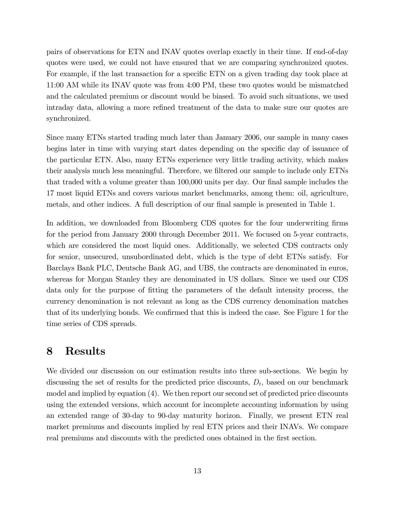pairs of observations for ETN and INAV quotes overlap exactly in their time. If end-of-day quotes were used, we could not have ensured that we are comparing synchronized quotes. For example, if the last transaction for a specific ETN on a given trading day took place at 11:00 AM while its INAV quote was from 4:00 PM, these two quotes would be mismatched and the calculated premium or discount would be biased. To avoid such situations, we used intraday data, allowing a more refined treatment of the data to make sure our quotes are synchronized.

Since many ETNs started trading much later than January 2006, our sample in many cases begins later in time with varying start dates depending on the specific day of issuance of the particular ETN. Also, many ETNs experience very little trading activity, which makes their analysis much less meaningful. Therefore, we filtered our sample to include only ETNs that traded with a volume greater than 100,000 units per day. Our final sample includes the 17 most liquid ETNs and covers various market benchmarks, among them: oil, agriculture, metals, and other indices. A full description of our final sample is presented in Table 1.

In addition, we downloaded from Bloomberg CDS quotes for the four underwriting firms for the period from January 2000 through December 2011. We focused on 5-year contracts, which are considered the most liquid ones. Additionally, we selected CDS contracts only for senior, unsecured, unsubordinated debt, which is the type of debt ETNs satisfy. For Barclays Bank PLC, Deutsche Bank AG, and UBS, the contracts are denominated in euros, whereas for Morgan Stanley they are denominated in US dollars. Since we used our CDS data only for the purpose of fitting the parameters of the default intensity process, the currency denomination is not relevant as long as the CDS currency denomination matches that of its underlying bonds. We confirmed that this is indeed the case. See Figure 1 for the time series of CDS spreads.

### 8 Results

We divided our discussion on our estimation results into three sub-sections. We begin by discussing the set of results for the predicted price discounts,  $D_t$ , based on our benchmark model and implied by equation (4). We then report our second set of predicted price discounts using the extended versions, which account for incomplete accounting information by using an extended range of 30-day to 90-day maturity horizon. Finally, we present ETN real market premiums and discounts implied by real ETN prices and their INAVs. We compare real premiums and discounts with the predicted ones obtained in the first section.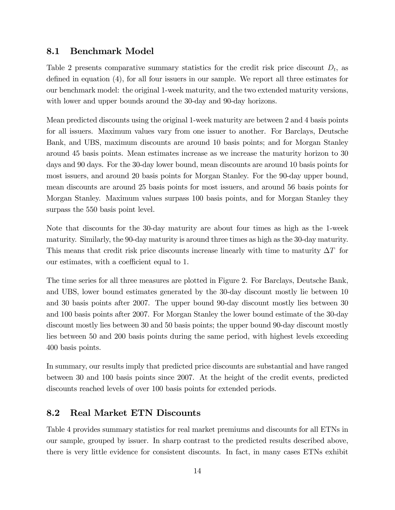#### 8.1 Benchmark Model

Table 2 presents comparative summary statistics for the credit risk price discount  $D_t$ , as defined in equation  $(4)$ , for all four issuers in our sample. We report all three estimates for our benchmark model: the original 1-week maturity, and the two extended maturity versions, with lower and upper bounds around the 30-day and 90-day horizons.

Mean predicted discounts using the original 1-week maturity are between 2 and 4 basis points for all issuers. Maximum values vary from one issuer to another. For Barclays, Deutsche Bank, and UBS, maximum discounts are around 10 basis points; and for Morgan Stanley around 45 basis points. Mean estimates increase as we increase the maturity horizon to 30 days and 90 days. For the 30-day lower bound, mean discounts are around 10 basis points for most issuers, and around 20 basis points for Morgan Stanley. For the 90-day upper bound, mean discounts are around 25 basis points for most issuers, and around 56 basis points for Morgan Stanley. Maximum values surpass 100 basis points, and for Morgan Stanley they surpass the 550 basis point level.

Note that discounts for the 30-day maturity are about four times as high as the 1-week maturity. Similarly, the 90-day maturity is around three times as high as the 30-day maturity. This means that credit risk price discounts increase linearly with time to maturity  $\Delta T$  for our estimates, with a coefficient equal to 1.

The time series for all three measures are plotted in Figure 2. For Barclays, Deutsche Bank, and UBS, lower bound estimates generated by the 30-day discount mostly lie between 10 and 30 basis points after 2007. The upper bound 90-day discount mostly lies between 30 and 100 basis points after 2007. For Morgan Stanley the lower bound estimate of the 30-day discount mostly lies between 30 and 50 basis points; the upper bound 90-day discount mostly lies between 50 and 200 basis points during the same period, with highest levels exceeding 400 basis points.

In summary, our results imply that predicted price discounts are substantial and have ranged between 30 and 100 basis points since 2007. At the height of the credit events, predicted discounts reached levels of over 100 basis points for extended periods.

#### 8.2 Real Market ETN Discounts

Table 4 provides summary statistics for real market premiums and discounts for all ETNs in our sample, grouped by issuer. In sharp contrast to the predicted results described above, there is very little evidence for consistent discounts. In fact, in many cases ETNs exhibit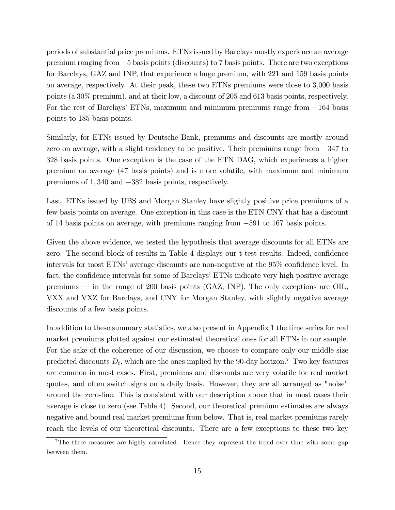periods of substantial price premiums. ETNs issued by Barclays mostly experience an average premium ranging from  $-5$  basis points (discounts) to 7 basis points. There are two exceptions for Barclays, GAZ and INP, that experience a huge premium, with 221 and 159 basis points on average, respectively. At their peak, these two ETNs premiums were close to 3,000 basis points (a 30% premium), and at their low, a discount of 205 and 613 basis points, respectively. For the rest of Barclays' ETNs, maximum and minimum premiums range from  $-164$  basis points to 185 basis points.

Similarly, for ETNs issued by Deutsche Bank, premiums and discounts are mostly around zero on average, with a slight tendency to be positive. Their premiums range from  $-347$  to 328 basis points. One exception is the case of the ETN DAG, which experiences a higher premium on average (47 basis points) and is more volatile, with maximum and minimum premiums of  $1,340$  and  $-382$  basis points, respectively.

Last, ETNs issued by UBS and Morgan Stanley have slightly positive price premiums of a few basis points on average. One exception in this case is the ETN CNY that has a discount of 14 basis points on average, with premiums ranging from  $-591$  to 167 basis points.

Given the above evidence, we tested the hypothesis that average discounts for all ETNs are zero. The second block of results in Table 4 displays our t-test results. Indeed, confidence intervals for most ETNs' average discounts are non-negative at the 95% confidence level. In fact, the confidence intervals for some of Barclays' ETNs indicate very high positive average premiums  $\sim$  in the range of 200 basis points (GAZ, INP). The only exceptions are OIL, VXX and VXZ for Barclays, and CNY for Morgan Stanley, with slightly negative average discounts of a few basis points.

In addition to these summary statistics, we also present in Appendix 1 the time series for real market premiums plotted against our estimated theoretical ones for all ETNs in our sample. For the sake of the coherence of our discussion, we choose to compare only our middle size predicted discounts  $D_t$ , which are the ones implied by the 90-day horizon.<sup>7</sup> Two key features are common in most cases. First, premiums and discounts are very volatile for real market quotes, and often switch signs on a daily basis. However, they are all arranged as "noise" around the zero-line. This is consistent with our description above that in most cases their average is close to zero (see Table 4). Second, our theoretical premium estimates are always negative and bound real market premiums from below. That is, real market premiums rarely reach the levels of our theoretical discounts. There are a few exceptions to these two key

<sup>&</sup>lt;sup>7</sup>The three measures are highly correlated. Hence they represent the trend over time with some gap between them.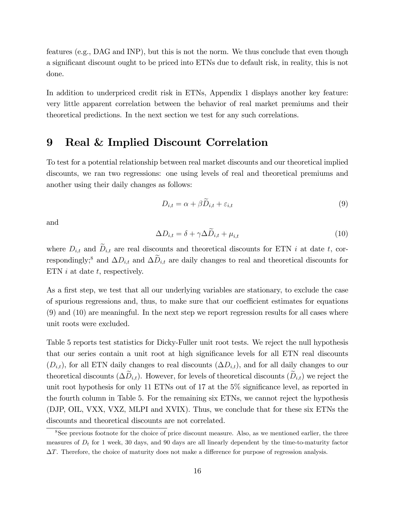features (e.g., DAG and INP), but this is not the norm. We thus conclude that even though a significant discount ought to be priced into ETNs due to default risk, in reality, this is not done.

In addition to underpriced credit risk in ETNs, Appendix 1 displays another key feature: very little apparent correlation between the behavior of real market premiums and their theoretical predictions. In the next section we test for any such correlations.

### 9 Real & Implied Discount Correlation

To test for a potential relationship between real market discounts and our theoretical implied discounts, we ran two regressions: one using levels of real and theoretical premiums and another using their daily changes as follows:

$$
D_{i,t} = \alpha + \beta \tilde{D}_{i,t} + \varepsilon_{i,t} \tag{9}
$$

and

$$
\Delta D_{i,t} = \delta + \gamma \Delta \tilde{D}_{i,t} + \mu_{i,t} \tag{10}
$$

where  $D_{i,t}$  and  $\widetilde{D}_{i,t}$  are real discounts and theoretical discounts for ETN i at date t, correspondingly;<sup>8</sup> and  $\Delta D_{i,t}$  and  $\Delta D_{i,t}$  are daily changes to real and theoretical discounts for ETN  $i$  at date  $t$ , respectively.

As a first step, we test that all our underlying variables are stationary, to exclude the case of spurious regressions and, thus, to make sure that our coefficient estimates for equations (9) and (10) are meaningful. In the next step we report regression results for all cases where unit roots were excluded.

Table 5 reports test statistics for Dicky-Fuller unit root tests. We reject the null hypothesis that our series contain a unit root at high significance levels for all ETN real discounts  $(D_{i,t})$ , for all ETN daily changes to real discounts  $(\Delta D_{i,t})$ , and for all daily changes to our theoretical discounts  $(\Delta \tilde{D}_{i,t})$ . However, for levels of theoretical discounts  $(\tilde{D}_{i,t})$  we reject the unit root hypothesis for only 11 ETNs out of 17 at the  $5\%$  significance level, as reported in the fourth column in Table 5. For the remaining six ETNs, we cannot reject the hypothesis (DJP, OIL, VXX, VXZ, MLPI and XVIX). Thus, we conclude that for these six ETNs the discounts and theoretical discounts are not correlated.

<sup>8</sup>See previous footnote for the choice of price discount measure. Also, as we mentioned earlier, the three measures of  $D_t$  for 1 week, 30 days, and 90 days are all linearly dependent by the time-to-maturity factor  $\Delta T$ . Therefore, the choice of maturity does not make a difference for purpose of regression analysis.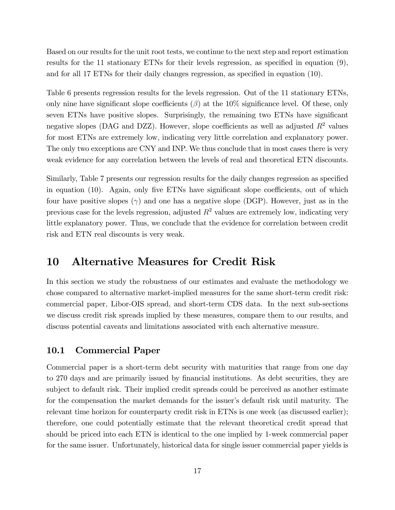Based on our results for the unit root tests, we continue to the next step and report estimation results for the 11 stationary ETNs for their levels regression, as specified in equation  $(9)$ , and for all  $17$  ETNs for their daily changes regression, as specified in equation (10).

Table 6 presents regression results for the levels regression. Out of the 11 stationary ETNs, only nine have significant slope coefficients  $(\beta)$  at the 10% significance level. Of these, only seven ETNs have positive slopes. Surprisingly, the remaining two ETNs have significant negative slopes (DAG and DZZ). However, slope coefficients as well as adjusted  $R^2$  values for most ETNs are extremely low, indicating very little correlation and explanatory power. The only two exceptions are CNY and INP. We thus conclude that in most cases there is very weak evidence for any correlation between the levels of real and theoretical ETN discounts.

Similarly, Table 7 presents our regression results for the daily changes regression as specified in equation  $(10)$ . Again, only five ETNs have significant slope coefficients, out of which four have positive slopes  $(\gamma)$  and one has a negative slope (DGP). However, just as in the previous case for the levels regression, adjusted  $R^2$  values are extremely low, indicating very little explanatory power. Thus, we conclude that the evidence for correlation between credit risk and ETN real discounts is very weak.

### 10 Alternative Measures for Credit Risk

In this section we study the robustness of our estimates and evaluate the methodology we chose compared to alternative market-implied measures for the same short-term credit risk: commercial paper, Libor-OIS spread, and short-term CDS data. In the next sub-sections we discuss credit risk spreads implied by these measures, compare them to our results, and discuss potential caveats and limitations associated with each alternative measure.

#### 10.1 Commercial Paper

Commercial paper is a short-term debt security with maturities that range from one day to 270 days and are primarily issued by financial institutions. As debt securities, they are subject to default risk. Their implied credit spreads could be perceived as another estimate for the compensation the market demands for the issuer's default risk until maturity. The relevant time horizon for counterparty credit risk in ETNs is one week (as discussed earlier); therefore, one could potentially estimate that the relevant theoretical credit spread that should be priced into each ETN is identical to the one implied by 1-week commercial paper for the same issuer. Unfortunately, historical data for single issuer commercial paper yields is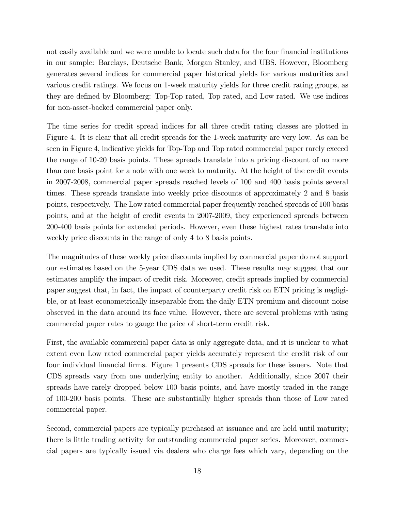not easily available and we were unable to locate such data for the four financial institutions in our sample: Barclays, Deutsche Bank, Morgan Stanley, and UBS. However, Bloomberg generates several indices for commercial paper historical yields for various maturities and various credit ratings. We focus on 1-week maturity yields for three credit rating groups, as they are defined by Bloomberg: Top-Top rated, Top rated, and Low rated. We use indices for non-asset-backed commercial paper only.

The time series for credit spread indices for all three credit rating classes are plotted in Figure 4. It is clear that all credit spreads for the 1-week maturity are very low. As can be seen in Figure 4, indicative yields for Top-Top and Top rated commercial paper rarely exceed the range of 10-20 basis points. These spreads translate into a pricing discount of no more than one basis point for a note with one week to maturity. At the height of the credit events in 2007-2008, commercial paper spreads reached levels of 100 and 400 basis points several times. These spreads translate into weekly price discounts of approximately 2 and 8 basis points, respectively. The Low rated commercial paper frequently reached spreads of 100 basis points, and at the height of credit events in 2007-2009, they experienced spreads between 200-400 basis points for extended periods. However, even these highest rates translate into weekly price discounts in the range of only 4 to 8 basis points.

The magnitudes of these weekly price discounts implied by commercial paper do not support our estimates based on the 5-year CDS data we used. These results may suggest that our estimates amplify the impact of credit risk. Moreover, credit spreads implied by commercial paper suggest that, in fact, the impact of counterparty credit risk on ETN pricing is negligible, or at least econometrically inseparable from the daily ETN premium and discount noise observed in the data around its face value. However, there are several problems with using commercial paper rates to gauge the price of short-term credit risk.

First, the available commercial paper data is only aggregate data, and it is unclear to what extent even Low rated commercial paper yields accurately represent the credit risk of our four individual financial firms. Figure 1 presents CDS spreads for these issuers. Note that CDS spreads vary from one underlying entity to another. Additionally, since 2007 their spreads have rarely dropped below 100 basis points, and have mostly traded in the range of 100-200 basis points. These are substantially higher spreads than those of Low rated commercial paper.

Second, commercial papers are typically purchased at issuance and are held until maturity; there is little trading activity for outstanding commercial paper series. Moreover, commercial papers are typically issued via dealers who charge fees which vary, depending on the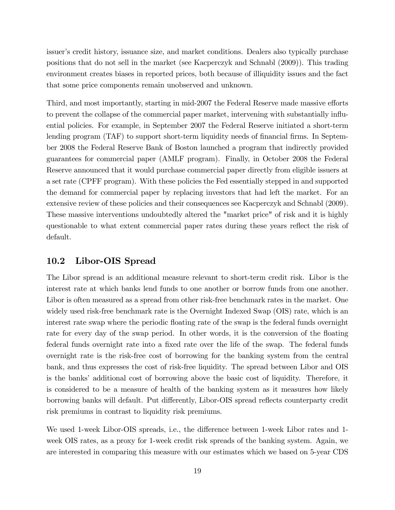issuer's credit history, issuance size, and market conditions. Dealers also typically purchase positions that do not sell in the market (see Kacperczyk and Schnabl (2009)). This trading environment creates biases in reported prices, both because of illiquidity issues and the fact that some price components remain unobserved and unknown.

Third, and most importantly, starting in mid-2007 the Federal Reserve made massive efforts to prevent the collapse of the commercial paper market, intervening with substantially ináuential policies. For example, in September 2007 the Federal Reserve initiated a short-term lending program (TAF) to support short-term liquidity needs of financial firms. In September 2008 the Federal Reserve Bank of Boston launched a program that indirectly provided guarantees for commercial paper (AMLF program). Finally, in October 2008 the Federal Reserve announced that it would purchase commercial paper directly from eligible issuers at a set rate (CPFF program). With these policies the Fed essentially stepped in and supported the demand for commercial paper by replacing investors that had left the market. For an extensive review of these policies and their consequences see Kacperczyk and Schnabl (2009). These massive interventions undoubtedly altered the "market price" of risk and it is highly questionable to what extent commercial paper rates during these years reflect the risk of default.

#### 10.2 Libor-OIS Spread

The Libor spread is an additional measure relevant to short-term credit risk. Libor is the interest rate at which banks lend funds to one another or borrow funds from one another. Libor is often measured as a spread from other risk-free benchmark rates in the market. One widely used risk-free benchmark rate is the Overnight Indexed Swap (OIS) rate, which is an interest rate swap where the periodic floating rate of the swap is the federal funds overnight rate for every day of the swap period. In other words, it is the conversion of the floating federal funds overnight rate into a fixed rate over the life of the swap. The federal funds overnight rate is the risk-free cost of borrowing for the banking system from the central bank, and thus expresses the cost of risk-free liquidity. The spread between Libor and OIS is the banks' additional cost of borrowing above the basic cost of liquidity. Therefore, it is considered to be a measure of health of the banking system as it measures how likely borrowing banks will default. Put differently, Libor-OIS spread reflects counterparty credit risk premiums in contrast to liquidity risk premiums.

We used 1-week Libor-OIS spreads, i.e., the difference between 1-week Libor rates and 1week OIS rates, as a proxy for 1-week credit risk spreads of the banking system. Again, we are interested in comparing this measure with our estimates which we based on 5-year CDS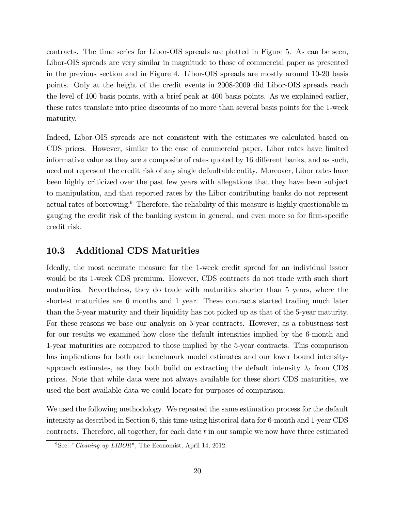contracts. The time series for Libor-OIS spreads are plotted in Figure 5. As can be seen, Libor-OIS spreads are very similar in magnitude to those of commercial paper as presented in the previous section and in Figure 4. Libor-OIS spreads are mostly around 10-20 basis points. Only at the height of the credit events in 2008-2009 did Libor-OIS spreads reach the level of 100 basis points, with a brief peak at 400 basis points. As we explained earlier, these rates translate into price discounts of no more than several basis points for the 1-week maturity.

Indeed, Libor-OIS spreads are not consistent with the estimates we calculated based on CDS prices. However, similar to the case of commercial paper, Libor rates have limited informative value as they are a composite of rates quoted by 16 different banks, and as such, need not represent the credit risk of any single defaultable entity. Moreover, Libor rates have been highly criticized over the past few years with allegations that they have been subject to manipulation, and that reported rates by the Libor contributing banks do not represent actual rates of borrowing. $9$  Therefore, the reliability of this measure is highly questionable in gauging the credit risk of the banking system in general, and even more so for firm-specific credit risk.

#### 10.3 Additional CDS Maturities

Ideally, the most accurate measure for the 1-week credit spread for an individual issuer would be its 1-week CDS premium. However, CDS contracts do not trade with such short maturities. Nevertheless, they do trade with maturities shorter than 5 years, where the shortest maturities are 6 months and 1 year. These contracts started trading much later than the 5-year maturity and their liquidity has not picked up as that of the 5-year maturity. For these reasons we base our analysis on 5-year contracts. However, as a robustness test for our results we examined how close the default intensities implied by the 6-month and 1-year maturities are compared to those implied by the 5-year contracts. This comparison has implications for both our benchmark model estimates and our lower bound intensityapproach estimates, as they both build on extracting the default intensity  $\lambda_t$  from CDS prices. Note that while data were not always available for these short CDS maturities, we used the best available data we could locate for purposes of comparison.

We used the following methodology. We repeated the same estimation process for the default intensity as described in Section 6, this time using historical data for 6-month and 1-year CDS contracts. Therefore, all together, for each date  $t$  in our sample we now have three estimated

<sup>&</sup>lt;sup>9</sup>See: "*Cleaning up LIBOR*", The Economist, April 14, 2012.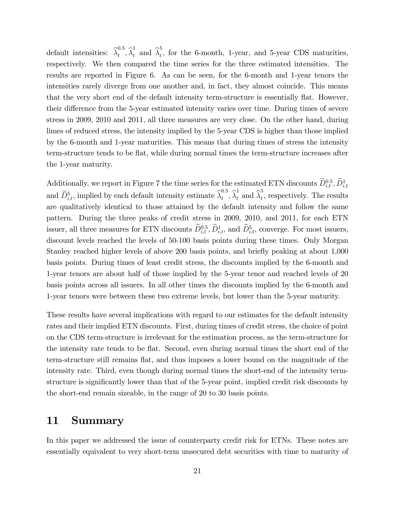default intensities:  $\hat{\lambda}_t^{0.5}$  $\sum_{t}^{0.5}$ ,  $\widehat{\lambda}_{t}^{1}$  and  $\widehat{\lambda}_{t}^{5}$  $t_t$ , for the 6-month, 1-year, and 5-year CDS maturities, respectively. We then compared the time series for the three estimated intensities. The results are reported in Figure 6. As can be seen, for the 6-month and 1-year tenors the intensities rarely diverge from one another and, in fact, they almost coincide. This means that the very short end of the default intensity term-structure is essentially flat. However, their difference from the 5-year estimated intensity varies over time. During times of severe stress in 2009, 2010 and 2011, all three measures are very close. On the other hand, during limes of reduced stress, the intensity implied by the 5-year CDS is higher than those implied by the 6-month and 1-year maturities. This means that during times of stress the intensity term-structure tends to be áat, while during normal times the term-structure increases after the 1-year maturity.

Additionally, we report in Figure 7 the time series for the estimated ETN discounts  $D_{i,t}^{0.5}, D_{i,t}^{1}$ and  $\widetilde{D}_{i,t}^5$ , implied by each default intensity estimate  $\widehat{\lambda}_t^{0.5}$  $\sum_{t}^{0.5}$ ,  $\widehat{\lambda}_{t}^{1}$  and  $\widehat{\lambda}_{t}^{5}$  $\tilde{t}$ , respectively. The results are qualitatively identical to those attained by the default intensity and follow the same pattern. During the three peaks of credit stress in 2009, 2010, and 2011, for each ETN issuer, all three measures for ETN discounts  $D_{i,t}^{0.5}, D_{i,t}^1$ , and  $D_{i,t}^5$ , converge. For most issuers, discount levels reached the levels of 50-100 basis points during these times. Only Morgan Stanley reached higher levels of above 200 basis points, and briefly peaking at about 1,000 basis points. During times of least credit stress, the discounts implied by the 6-month and 1-year tenors are about half of those implied by the 5-year tenor and reached levels of 20 basis points across all issuers. In all other times the discounts implied by the 6-month and 1-year tenors were between these two extreme levels, but lower than the 5-year maturity.

These results have several implications with regard to our estimates for the default intensity rates and their implied ETN discounts. First, during times of credit stress, the choice of point on the CDS term-structure is irrelevant for the estimation process, as the term-structure for the intensity rate tends to be áat. Second, even during normal times the short end of the term-structure still remains áat, and thus imposes a lower bound on the magnitude of the intensity rate. Third, even though during normal times the short-end of the intensity termstructure is significantly lower than that of the 5-year point, implied credit risk discounts by the short-end remain sizeable, in the range of 20 to 30 basis points.

### 11 Summary

In this paper we addressed the issue of counterparty credit risk for ETNs. These notes are essentially equivalent to very short-term unsecured debt securities with time to maturity of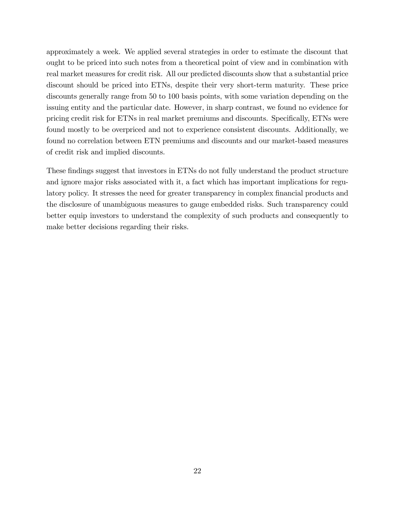approximately a week. We applied several strategies in order to estimate the discount that ought to be priced into such notes from a theoretical point of view and in combination with real market measures for credit risk. All our predicted discounts show that a substantial price discount should be priced into ETNs, despite their very short-term maturity. These price discounts generally range from 50 to 100 basis points, with some variation depending on the issuing entity and the particular date. However, in sharp contrast, we found no evidence for pricing credit risk for ETNs in real market premiums and discounts. Specifically, ETNs were found mostly to be overpriced and not to experience consistent discounts. Additionally, we found no correlation between ETN premiums and discounts and our market-based measures of credit risk and implied discounts.

These findings suggest that investors in ETNs do not fully understand the product structure and ignore major risks associated with it, a fact which has important implications for regulatory policy. It stresses the need for greater transparency in complex financial products and the disclosure of unambiguous measures to gauge embedded risks. Such transparency could better equip investors to understand the complexity of such products and consequently to make better decisions regarding their risks.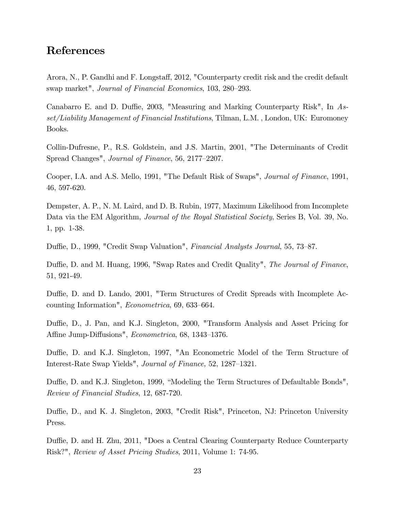### References

Arora, N., P. Gandhi and F. Longstaff, 2012, "Counterparty credit risk and the credit default swap market", Journal of Financial Economics, 103, 280–293.

Canabarro E. and D. Duffie, 2003, "Measuring and Marking Counterparty Risk", In  $As$ set/Liability Management of Financial Institutions, Tilman, L.M. , London, UK: Euromoney Books.

Collin-Dufresne, P., R.S. Goldstein, and J.S. Martin, 2001, "The Determinants of Credit Spread Changes", *Journal of Finance*, 56, 2177–2207.

Cooper, I.A. and A.S. Mello, 1991, "The Default Risk of Swaps", Journal of Finance, 1991, 46, 597-620.

Dempster, A. P., N. M. Laird, and D. B. Rubin, 1977, Maximum Likelihood from Incomplete Data via the EM Algorithm, Journal of the Royal Statistical Society, Series B, Vol. 39, No. 1, pp. 1-38.

Duffie, D., 1999, "Credit Swap Valuation", Financial Analysts Journal, 55, 73–87.

Duffie, D. and M. Huang, 1996, "Swap Rates and Credit Quality", The Journal of Finance, 51, 921-49.

Duffie, D. and D. Lando, 2001, "Term Structures of Credit Spreads with Incomplete Accounting Information",  $Econometrica$ , 69, 633-664.

Duffie, D., J. Pan, and K.J. Singleton, 2000, "Transform Analysis and Asset Pricing for Affine Jump-Diffusions", *Econometrica*, 68, 1343–1376.

Duffie, D. and K.J. Singleton, 1997, "An Econometric Model of the Term Structure of Interest-Rate Swap Yields", *Journal of Finance*, 52, 1287–1321.

Duffie, D. and K.J. Singleton, 1999, "Modeling the Term Structures of Defaultable Bonds", Review of Financial Studies, 12, 687-720.

Duffie, D., and K. J. Singleton, 2003, "Credit Risk", Princeton, NJ: Princeton University Press.

Duffie, D. and H. Zhu, 2011, "Does a Central Clearing Counterparty Reduce Counterparty Risk?", Review of Asset Pricing Studies, 2011, Volume 1: 74-95.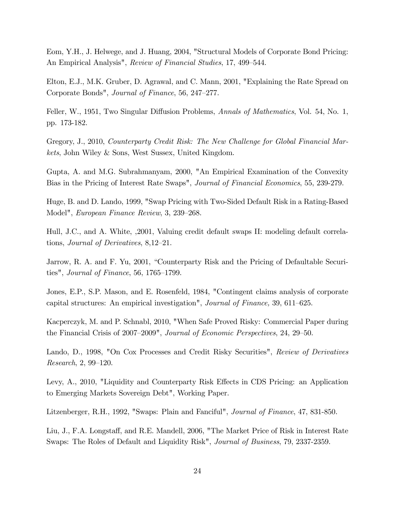Eom, Y.H., J. Helwege, and J. Huang, 2004, "Structural Models of Corporate Bond Pricing: An Empirical Analysis", Review of Financial Studies, 17, 499–544.

Elton, E.J., M.K. Gruber, D. Agrawal, and C. Mann, 2001, "Explaining the Rate Spread on Corporate Bonds", *Journal of Finance*, 56, 247–277.

Feller, W., 1951, Two Singular Diffusion Problems, Annals of Mathematics, Vol. 54, No. 1, pp. 173-182.

Gregory, J., 2010, Counterparty Credit Risk: The New Challenge for Global Financial Markets, John Wiley & Sons, West Sussex, United Kingdom.

Gupta, A. and M.G. Subrahmanyam, 2000, "An Empirical Examination of the Convexity Bias in the Pricing of Interest Rate Swaps", Journal of Financial Economics, 55, 239-279.

Huge, B. and D. Lando, 1999, "Swap Pricing with Two-Sided Default Risk in a Rating-Based Model", European Finance Review, 3, 239–268.

Hull, J.C., and A. White, ,2001, Valuing credit default swaps II: modeling default correlations, *Journal of Derivatives*,  $8,12-21$ .

Jarrow, R. A. and F. Yu, 2001, "Counterparty Risk and the Pricing of Defaultable Securities", Journal of Finance, 56, 1765–1799.

Jones, E.P., S.P. Mason, and E. Rosenfeld, 1984, "Contingent claims analysis of corporate capital structures: An empirical investigation",  $Journal$  of Finance, 39, 611-625.

Kacperczyk, M. and P. Schnabl, 2010, "When Safe Proved Risky: Commercial Paper during the Financial Crisis of 2007–2009", *Journal of Economic Perspectives*, 24, 29–50.

Lando, D., 1998, "On Cox Processes and Credit Risky Securities", Review of Derivatives  $Research, 2, 99-120.$ 

Levy, A., 2010, "Liquidity and Counterparty Risk Effects in CDS Pricing: an Application to Emerging Markets Sovereign Debt", Working Paper.

Litzenberger, R.H., 1992, "Swaps: Plain and Fanciful", *Journal of Finance*, 47, 831-850.

Liu, J., F.A. Longstaff, and R.E. Mandell, 2006, "The Market Price of Risk in Interest Rate Swaps: The Roles of Default and Liquidity Risk", Journal of Business, 79, 2337-2359.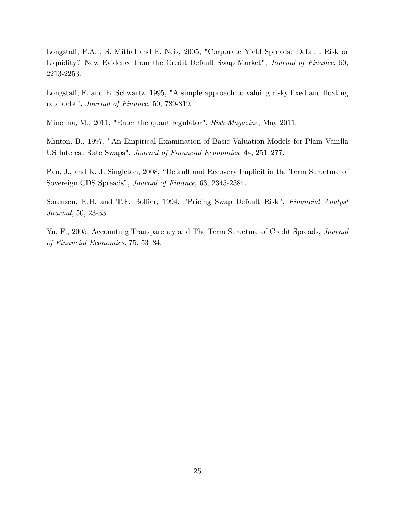Longstaff, F.A., S. Mithal and E. Neis, 2005, "Corporate Yield Spreads: Default Risk or Liquidity? New Evidence from the Credit Default Swap Market", *Journal of Finance*, 60, 2213-2253.

Longstaff, F. and E. Schwartz, 1995, "A simple approach to valuing risky fixed and floating rate debt", Journal of Finance, 50, 789-819.

Minenna, M., 2011, "Enter the quant regulator", Risk Magazine, May 2011.

Minton, B., 1997, "An Empirical Examination of Basic Valuation Models for Plain Vanilla US Interest Rate Swaps", Journal of Financial Economics, 44, 251-277.

Pan, J., and K. J. Singleton, 2008, "Default and Recovery Implicit in the Term Structure of Sovereign CDS Spreads", Journal of Finance, 63, 2345-2384.

Sorensen, E.H. and T.F. Bollier, 1994, "Pricing Swap Default Risk", Financial Analyst Journal, 50, 23-33.

Yu, F., 2005, Accounting Transparency and The Term Structure of Credit Spreads, Journal of Financial Economics,  $75, 53-84.$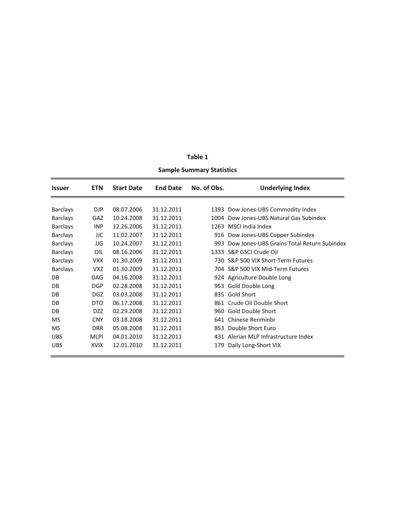Table 1 **Sample Summary Statistics** 

| <b>Issuer</b>   | <b>ETN</b>  | <b>Start Date</b> | <b>End Date</b> | No. of Obs. | <b>Underlying Index</b>                    |
|-----------------|-------------|-------------------|-----------------|-------------|--------------------------------------------|
|                 |             |                   |                 |             |                                            |
| <b>Barclays</b> | DJP         | 08.07.2006        | 31.12.2011      |             | 1393 Dow Jones-UBS Commodity Index         |
| <b>Barclays</b> | <b>GAZ</b>  | 10.24.2008        | 31.12.2011      | 1004        | Dow Jones-UBS Natural Gas Subindex         |
| <b>Barclays</b> | INP         | 12.26.2006        | 31.12.2011      |             | 1263 MSCL India Index                      |
| <b>Barclays</b> | ЛC          | 11.02.2007        | 31.12.2011      |             | 916 Dow Jones-UBS Copper Subindex          |
| <b>Barclays</b> | JJG         | 10.24.2007        | 31.12.2011      | 993         | Dow Jones-UBS Grains Total Return Subindex |
| <b>Barclays</b> | OIL         | 08.16.2006        | 31.12.2011      |             | 1333 S&P GSCLCrude Oil                     |
| <b>Barclays</b> | <b>VXX</b>  | 01.30.2009        | 31.12.2011      |             | 730 S&P 500 VIX Short-Term Futures         |
| <b>Barclays</b> | <b>VXZ</b>  | 01.30.2009        | 31.12.2011      |             | 704 S&P 500 VIX Mid-Term Futures           |
| DB              | DAG.        | 04.16.2008        | 31.12.2011      |             | 924 Agriculture Double Long                |
| D <sub>B</sub>  | <b>DGP</b>  | 02.28.2008        | 31.12.2011      |             | 953 Gold Double Long                       |
| D <sub>B</sub>  | DGZ.        | 03.03.2008        | 31.12.2011      |             | 835 Gold Short                             |
| D <sub>B</sub>  | DTO.        | 06.17.2008        | 31.12.2011      | 861         | Crude Oil Double Short                     |
| D <sub>B</sub>  | D77         | 02.29.2008        | 31.12.2011      | 960.        | Gold Double Short                          |
| <b>MS</b>       | <b>CNY</b>  | 03.18.2008        | 31.12.2011      | 641         | Chinese Renminbi                           |
| <b>MS</b>       | <b>DRR</b>  | 05.08.2008        | 31.12.2011      |             | 853 Double Short Furo                      |
| <b>UBS</b>      | MI PI       | 04.01.2010        | 31.12.2011      |             | 431 Alerian MLP Infrastructure Index       |
| <b>UBS</b>      | <b>XVIX</b> | 12.01.2010        | 31.12.2011      | 179         | Daily Long-Short VIX                       |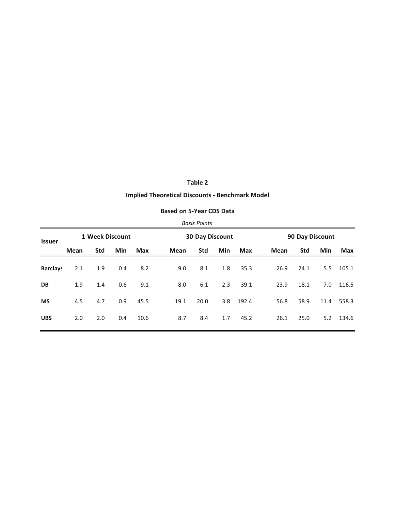### Table 2

#### **Implied Theoretical Discounts - Benchmark Model**

#### **Based on 5-Year CDS Data**

| Basis Points |  |
|--------------|--|
|              |  |

| <b>Issuer</b>   | 1-Week Discount |            |     |            | <b>30-Day Discount</b> |            |     |            | 90-Day Discount |      |     |            |
|-----------------|-----------------|------------|-----|------------|------------------------|------------|-----|------------|-----------------|------|-----|------------|
|                 | Mean            | <b>Std</b> | Min | <b>Max</b> | <b>Mean</b>            | <b>Std</b> | Min | <b>Max</b> | <b>Mean</b>     | Std  | Min | Max        |
| <b>Barclays</b> | 2.1             | 1.9        | 0.4 | 8.2        | 9.0                    | 8.1        | 1.8 | 35.3       | 26.9            | 24.1 | 5.5 | 105.1      |
| <b>DB</b>       | 1.9             | 1.4        | 0.6 | 9.1        | 8.0                    | 6.1        | 2.3 | 39.1       | 23.9            | 18.1 | 7.0 | 116.5      |
| <b>MS</b>       | 4.5             | 4.7        | 0.9 | 45.5       | 19.1                   | 20.0       | 3.8 | 192.4      | 56.8            | 58.9 |     | 11.4 558.3 |
| <b>UBS</b>      | 2.0             | 2.0        | 0.4 | 10.6       | 8.7                    | 8.4        | 1.7 | 45.2       | 26.1            | 25.0 | 5.2 | 134.6      |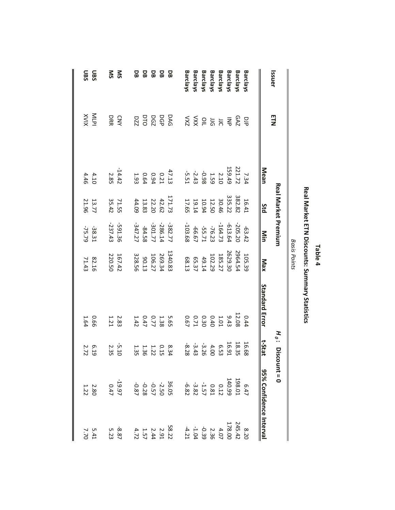| ı<br>r. |
|---------|

Real Market ETN Discounts: Summary Statistics

| LBS<br><b>OBS</b>    | $\mathbf{S}$<br>ŠΣ                          | 몽<br>90<br>몽<br>몽<br>몽                                                                                | <b>Barclays</b><br><b>Barclays</b><br><b>Barclays</b><br>Barclays<br>Barclays<br><b>Barclays</b><br><b>Barclays</b><br><b>Barclays</b> | Issuer               |              |
|----------------------|---------------------------------------------|-------------------------------------------------------------------------------------------------------|----------------------------------------------------------------------------------------------------------------------------------------|----------------------|--------------|
| <b>MLPI</b>          | <b>SER</b>                                  | DAG<br>8<br>8<br>8<br>8<br>8<br>8<br>8                                                                | $X \times 9 = 5 = 5.8$                                                                                                                 | Ę                    |              |
| $4.10$<br>$4.46$     | $-14.42$<br>2.85                            | $47.13$<br>0 0 0 0 0<br>0 0 0 0<br>1 9 3                                                              | 731.72<br>221.72<br>259.49<br>259.49<br>25.51<br>Mean                                                                                  |                      |              |
| 13.77                | $71.55$<br>35.42                            | $\begin{array}{r} 171.73 \\ 42.68 \\ 21.38 \\ 22.89 \\ 44.99 \end{array}$                             | $\begin{array}{c} 16.36 \\ 382.85 \\ 395.24 \\ 41 \\ 10.9 \\ 17.6 \\ \end{array}$<br>Std                                               |                      |              |
| $-38.31$<br>$-75.79$ | -591.36<br>-237.43                          | $-382.77$ $-286.14$<br>$-84.58$ $-347.27$                                                             | $-205.20$<br>$-164.72$<br>$-55.71$<br>$-66.67$<br>$-103.68$<br>$-63.42$<br>Nin                                                         | Real Market Premium  |              |
| 82.16<br>71.43       | 167.42<br>220.50                            | 1340.83<br>269.34<br>269.37<br>328.56                                                                 | 105.39<br>2064.52<br>2629.30<br>2629.37<br>102.29<br>Max                                                                               |                      | Basis Points |
| 99'0<br>1.64         | $2.83$<br>1.21                              |                                                                                                       | <b>Standard Error</b><br>0.44                                                                                                          |                      |              |
| $6.19$<br>2.72       | $-5.10$<br>2.35                             | $\begin{array}{cccc}\n8.3 & 0 & 1 & 1 & 3 \\ 0.1 & 1 & 2 & 3 & 5 \\ 1.3 & 2 & 3 & 5 & 5\n\end{array}$ | t-Stat<br>16.68<br>16 6 4 3 3 3<br>5 3 3 3 4 4 3<br>5 8 9 4 3 8<br>18.35                                                               | $H_0$ : Discount = 0 |              |
| $\frac{2.80}{1.22}$  | $\begin{array}{c} 19.97 \\ 247 \end{array}$ | $\begin{array}{cccc}\n 36.05 & 0.05 \\  0.5 & 0.00 \\  -0.00 & 0.00\n \end{array}$                    | 95% Confidence Interval<br>6.47<br>198.01<br>140.99<br>140.92<br>19.82                                                                 |                      |              |
| 5.41<br>7.70         | $-8.87$<br>5.23                             | 58.22<br>2 2 3 4<br>4 3 7 2<br>4 7 2 4 7 2                                                            | $\begin{array}{l} 274 \\ 245 \\ 178 \\ 36 \\ 278 \\ 43 \\ 50 \\ 73 \\ 84 \\ 10 \\ 10 \\ 21 \\ 1 \end{array}$                           |                      |              |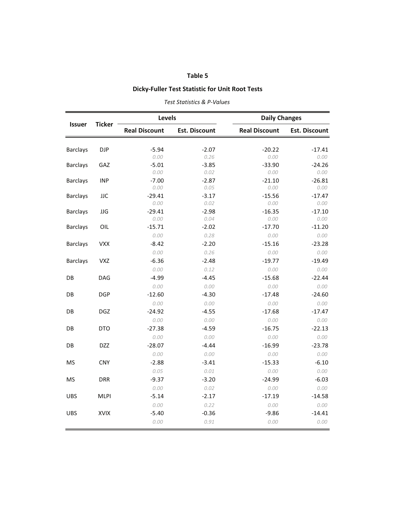#### Table 5

#### **Dicky-Fuller Test Statistic for Unit Root Tests**

|                 |               | Levels               |                      | <b>Daily Changes</b> |                      |  |  |
|-----------------|---------------|----------------------|----------------------|----------------------|----------------------|--|--|
| <b>Issuer</b>   | <b>Ticker</b> | <b>Real Discount</b> | <b>Est. Discount</b> | <b>Real Discount</b> | <b>Est. Discount</b> |  |  |
|                 |               |                      |                      |                      |                      |  |  |
| <b>Barclays</b> | <b>DJP</b>    | $-5.94$              | $-2.07$              | $-20.22$             | $-17.41$             |  |  |
|                 |               | 0.00                 | 0.26                 | 0.00                 | 0.00                 |  |  |
| <b>Barclays</b> | GAZ           | $-5.01$<br>0.00      | $-3.85$<br>0.02      | $-33.90$<br>0.00     | $-24.26$<br>0.00     |  |  |
| <b>Barclays</b> | <b>INP</b>    | $-7.00$              | $-2.87$              | $-21.10$             | $-26.81$             |  |  |
|                 |               | 0.00                 | 0.05                 | 0.00                 | 0.00                 |  |  |
| <b>Barclays</b> | <b>JJC</b>    | $-29.41$             | $-3.17$              | $-15.56$             | $-17.47$             |  |  |
|                 |               | 0.00                 | 0.02                 | 0.00                 | 0.00                 |  |  |
| <b>Barclays</b> | JJG           | $-29.41$             | $-2.98$              | $-16.35$             | $-17.10$             |  |  |
|                 |               | 0.00                 | 0.04                 | 0.00                 | 0.00                 |  |  |
| <b>Barclays</b> | OIL           | $-15.71$             | $-2.02$              | $-17.70$             | $-11.20$             |  |  |
|                 |               | 0.00                 | 0.28                 | 0.00                 | 0.00                 |  |  |
| <b>Barclays</b> | <b>VXX</b>    | $-8.42$              | $-2.20$              | $-15.16$             | $-23.28$             |  |  |
|                 |               | 0.00                 | 0.26                 | 0.00                 | 0.00                 |  |  |
| <b>Barclays</b> | <b>VXZ</b>    | $-6.36$              | $-2.48$              | $-19.77$             | $-19.49$             |  |  |
|                 |               | 0.00                 | 0.12                 | 0.00                 | 0.00                 |  |  |
| DB              | DAG           | $-4.99$              | $-4.45$              | $-15.68$             | $-22.44$             |  |  |
|                 |               | 0.00                 | 0.00                 | 0.00                 | 0.00                 |  |  |
| DB              | <b>DGP</b>    | $-12.60$             | $-4.30$              | $-17.48$             | $-24.60$             |  |  |
|                 |               | 0.00                 | 0.00                 | 0.00                 | 0.00                 |  |  |
| DB              | <b>DGZ</b>    | $-24.92$             | $-4.55$              | $-17.68$             | $-17.47$             |  |  |
|                 |               | 0.00                 | 0.00                 | 0.00                 | 0.00                 |  |  |
| DB              | <b>DTO</b>    | $-27.38$             | $-4.59$              | $-16.75$             | $-22.13$             |  |  |
|                 |               | 0.00                 | 0.00                 | 0.00                 | 0.00                 |  |  |
| DB              | <b>DZZ</b>    | $-28.07$             | $-4.44$              | $-16.99$             | $-23.78$             |  |  |
|                 |               | 0.00                 | 0.00                 | 0.00                 | 0.00                 |  |  |
| MS              | <b>CNY</b>    | $-2.88$              | $-3.41$              | $-15.33$             | $-6.10$              |  |  |
|                 |               | 0.05                 | 0.01                 | 0.00                 | 0.00                 |  |  |
| MS              | <b>DRR</b>    | $-9.37$              | $-3.20$              | $-24.99$             | $-6.03$              |  |  |
|                 |               | 0.00                 | 0.02                 | 0.00                 | 0.00                 |  |  |
| <b>UBS</b>      | <b>MLPI</b>   | $-5.14$              | $-2.17$              | $-17.19$             | $-14.58$             |  |  |
|                 |               | 0.00                 | 0.22                 | 0.00                 | 0.00                 |  |  |
| <b>UBS</b>      | <b>XVIX</b>   | $-5.40$              | $-0.36$              | $-9.86$              | $-14.41$             |  |  |
|                 |               | 0.00                 | 0.91                 | 0.00                 | 0.00                 |  |  |

Test Statistics & P-Values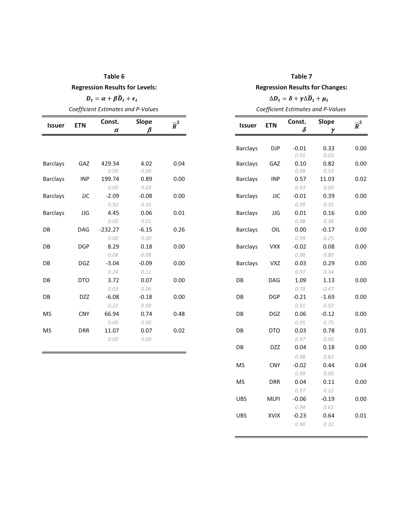## Table 6

**Regression Results for Levels:** 

| $D_t = \alpha + \beta \widetilde{D}_t + \epsilon_t$ |  |  |  |  |  |  |  |
|-----------------------------------------------------|--|--|--|--|--|--|--|
|-----------------------------------------------------|--|--|--|--|--|--|--|

Coefficient Estimates and P-Values

| <b>Issuer</b>   | <b>ETN</b> | Const.    | <b>Slope</b> | $\overline{R}^2$ |
|-----------------|------------|-----------|--------------|------------------|
|                 |            | $\alpha$  | ß            |                  |
|                 |            |           |              |                  |
|                 |            |           |              |                  |
|                 |            |           |              |                  |
| <b>Barclays</b> | GAZ        | 429.34    | 4.02         | 0.04             |
|                 |            | 0.00      | 0.00         |                  |
| <b>Barclays</b> | <b>INP</b> | 199.74    | 0.89         | 0.00             |
|                 |            | 0.00      | 0.03         |                  |
| <b>Barclays</b> | <b>JJC</b> | $-2.09$   | $-0.08$      | 0.00             |
|                 |            | 0.50      | 0.16         |                  |
| <b>Barclays</b> | JJG        | 4.45      | 0.06         | 0.01             |
|                 |            | 0.00      | 0.01         |                  |
| DB              | DAG        | $-232.27$ | $-6.15$      | 0.26             |
|                 |            | 0.00      | 0.00         |                  |
| DB              | <b>DGP</b> | 8.29      | 0.18         | 0.00             |
|                 |            | 0.08      | 0.08         |                  |
| DB              | <b>DGZ</b> | $-3.04$   | $-0.09$      | 0.00             |
|                 |            | 0.24      | 0.11         |                  |
| DB              | <b>DTO</b> | 3.72      | 0.07         | 0.00             |
|                 |            | 0.03      | 0.06         |                  |
| DB              | <b>DZZ</b> | $-6.08$   | $-0.18$      | 0.00             |
|                 |            | 0.22      | 0.09         |                  |
| <b>MS</b>       | <b>CNY</b> | 66.94     | 0.74         | 0.48             |
|                 |            | 0.00      | 0.00         |                  |
| <b>MS</b>       | <b>DRR</b> | 11.07     | 0.07         | 0.02             |
|                 |            | 0.00      | 0.00         |                  |
|                 |            |           |              |                  |

 $\blacksquare$ 

#### Table 7

#### **Regression Results for Changes:**

| $\Delta D_t = \delta + \gamma \Delta \widetilde{D}_t + \mu_t$ |            |                 |                                    |                  |  |  |
|---------------------------------------------------------------|------------|-----------------|------------------------------------|------------------|--|--|
|                                                               |            |                 | Coefficient Estimates and P-Values |                  |  |  |
| Issuer                                                        | ETN        | Const.<br>δ     | <b>Slope</b><br>γ                  | $\overline{R}^2$ |  |  |
| <b>Barclays</b>                                               | DJP        | -0.01<br>0.91   | 0.33<br>0.03                       | 0.00             |  |  |
| <b>Barclays</b>                                               | GAZ        | 0.10<br>0.98    | 0.82<br>0.53                       | 0.00             |  |  |
| <b>Barclays</b>                                               | INP        | 0.57<br>0.93    | 11.03<br>0.00                      | 0.02             |  |  |
| <b>Barclays</b>                                               | JJC        | $-0.01$<br>0.99 | 0.39<br>0.35                       | 0.00             |  |  |
| <b>Barclays</b>                                               | JJG        | 0.01            | 0.16                               | 0.00             |  |  |
| <b>Barclays</b>                                               | OIL        | 0.98<br>0.00    | 0.38<br>$-0.17$                    | 0.00             |  |  |
| <b>Barclays</b>                                               | <b>VXX</b> | 0.99<br>$-0.02$ | 0.25<br>0.08                       | 0.00             |  |  |
| <b>Barclays</b>                                               | VXZ        | 0.98<br>0.03    | 0.80<br>0.29                       | 0.00             |  |  |
| DB                                                            | DAG        | 0.97<br>1.09    | 0.34<br>1.13                       | 0.00             |  |  |
| DB                                                            | DGP        | 0.78<br>$-0.21$ | 0.47<br>$-1.69$                    | 0.00             |  |  |
| DB                                                            | <b>DGZ</b> | 0.91<br>0.06    | 0.03<br>$-0.12$                    | 0.00             |  |  |
| DB                                                            | DTO        | 0.95<br>0.03    | 0.75<br>0.78                       | 0.01             |  |  |
| DB                                                            | DZZ        | 0.97<br>0.04    | 0.00<br>0.18                       | 0.00             |  |  |
| MS                                                            | <b>CNY</b> | 0.98<br>$-0.02$ | 0.82<br>0.44                       | 0.04             |  |  |
|                                                               |            | 0.99            | 0.00                               |                  |  |  |
| MS                                                            | DRR        | 0.04<br>0.97    | 0.11<br>0.12                       | 0.00             |  |  |

**UBS** 

**UBS** 

**MLPI** 

XVIX

 $-0.06$ 

0.94

 $-0.23$ 

0.90

 $-0.19$ 

0.61

 $0.64$ 

0.32

 $0.00$ 

 $0.01$ 

 $\blacksquare$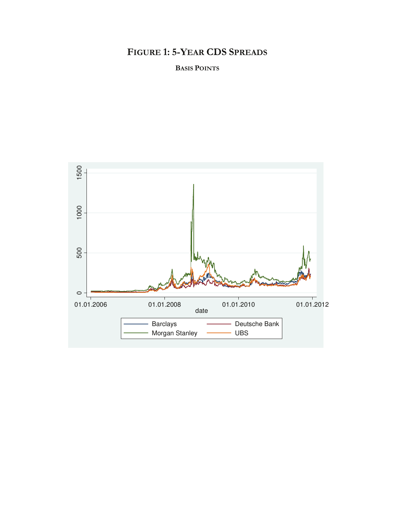## FIGURE 1: 5-YEAR CDS SPREADS

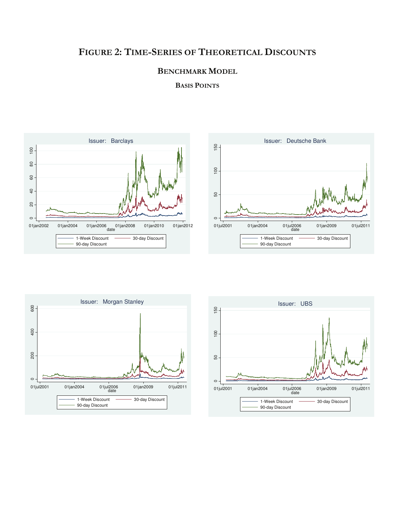## FIGURE 2: TIME-SERIES OF THEORETICAL DISCOUNTS

#### **BENCHMARK MODEL**







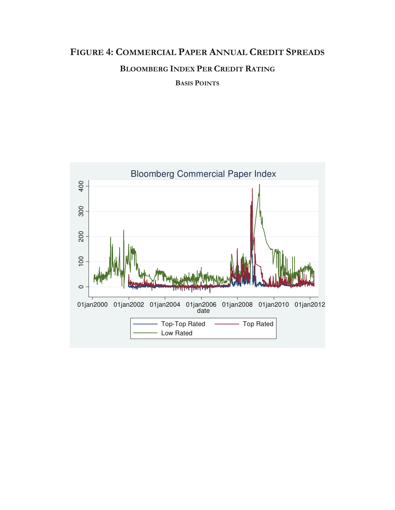## FIGURE 4: COMMERCIAL PAPER ANNUAL CREDIT SPREADS

**BLOOMBERG INDEX PER CREDIT RATING** 

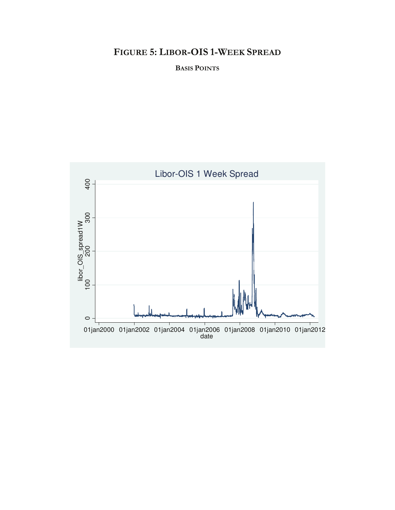## FIGURE 5: LIBOR-OIS 1-WEEK SPREAD

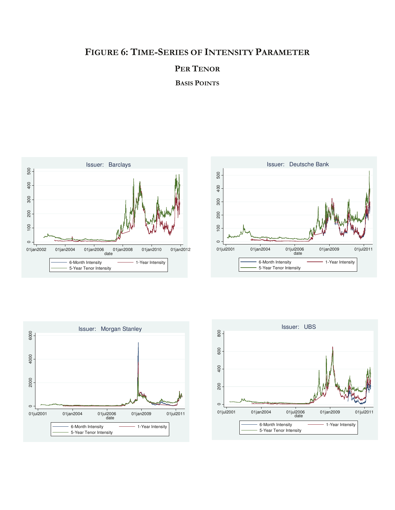## FIGURE 6: TIME-SERIES OF INTENSITY PARAMETER

PER TENOR

![](_page_34_Figure_3.jpeg)

![](_page_34_Figure_4.jpeg)

![](_page_34_Figure_5.jpeg)

![](_page_34_Figure_6.jpeg)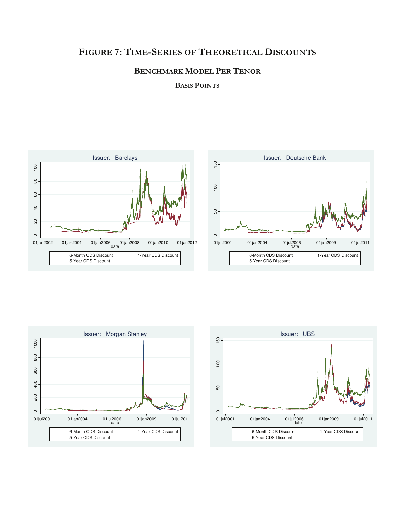## FIGURE 7: TIME-SERIES OF THEORETICAL DISCOUNTS

### **BENCHMARK MODEL PER TENOR**

![](_page_35_Figure_3.jpeg)

![](_page_35_Figure_4.jpeg)

![](_page_35_Figure_5.jpeg)

![](_page_35_Figure_6.jpeg)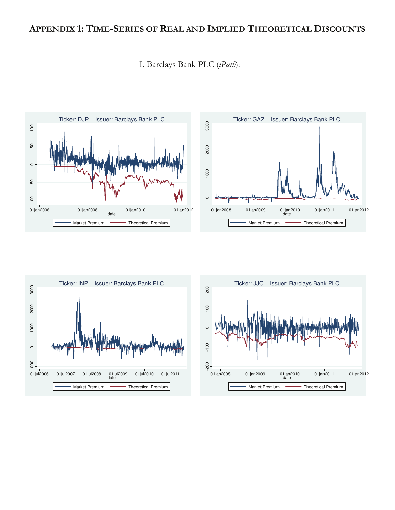![](_page_36_Figure_1.jpeg)

![](_page_36_Figure_2.jpeg)

![](_page_36_Figure_3.jpeg)

![](_page_36_Figure_4.jpeg)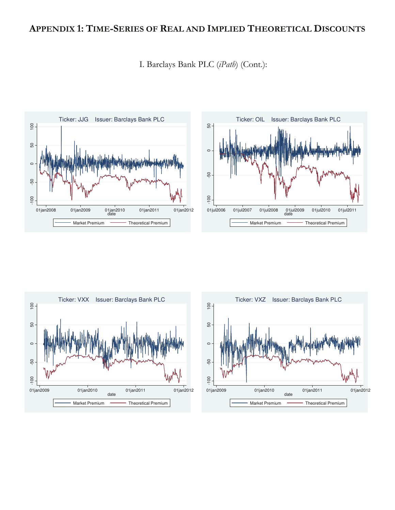![](_page_37_Figure_1.jpeg)

I. Barclays Bank PLC (iPath) (Cont.):

![](_page_37_Figure_3.jpeg)

![](_page_37_Figure_4.jpeg)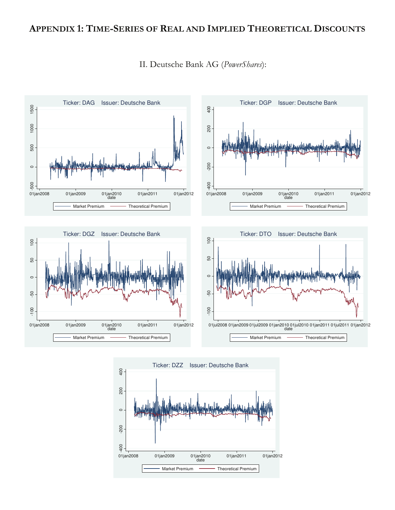![](_page_38_Figure_1.jpeg)

## II. Deutsche Bank AG (PowerShares):

![](_page_38_Figure_3.jpeg)